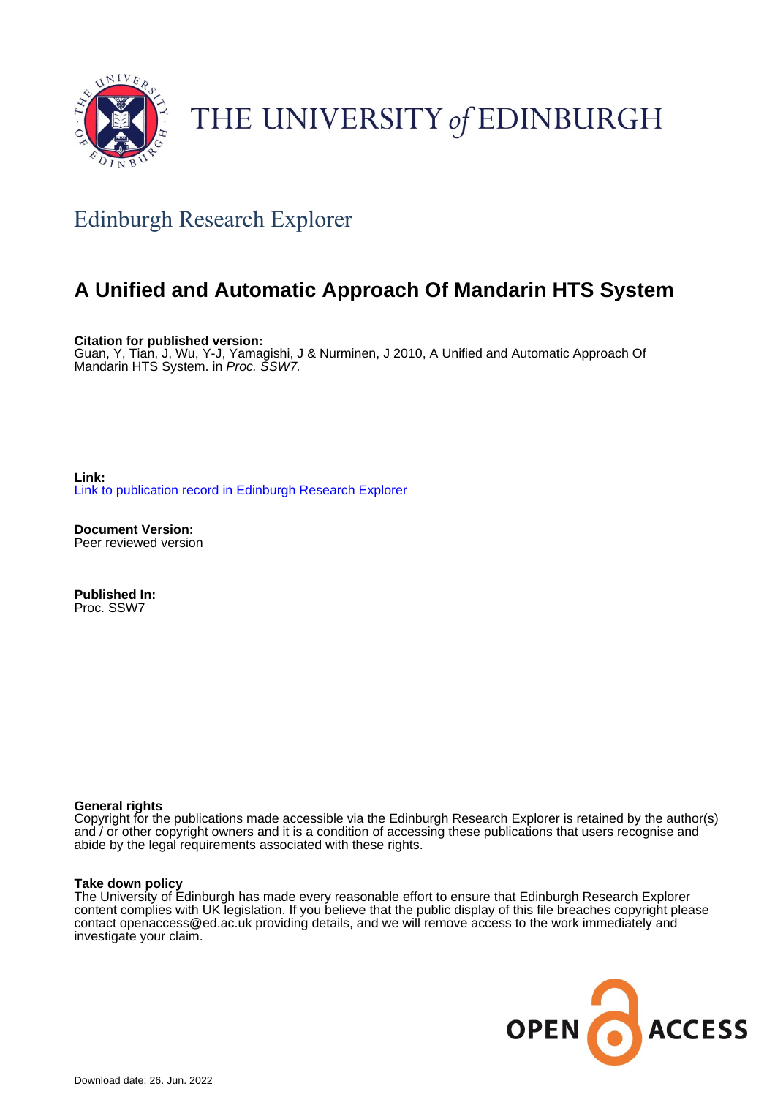

# THE UNIVERSITY of EDINBURGH

## Edinburgh Research Explorer

### **A Unified and Automatic Approach Of Mandarin HTS System**

**Citation for published version:** Guan, Y, Tian, J, Wu, Y-J, Yamagishi, J & Nurminen, J 2010, A Unified and Automatic Approach Of Mandarin HTS System. in Proc. SSW7.

**Link:** [Link to publication record in Edinburgh Research Explorer](https://www.research.ed.ac.uk/en/publications/a4f92f4f-7c07-4f7c-836a-28068374b557)

**Document Version:** Peer reviewed version

**Published In:** Proc. SSW7

#### **General rights**

Copyright for the publications made accessible via the Edinburgh Research Explorer is retained by the author(s) and / or other copyright owners and it is a condition of accessing these publications that users recognise and abide by the legal requirements associated with these rights.

#### **Take down policy**

The University of Edinburgh has made every reasonable effort to ensure that Edinburgh Research Explorer content complies with UK legislation. If you believe that the public display of this file breaches copyright please contact openaccess@ed.ac.uk providing details, and we will remove access to the work immediately and investigate your claim.

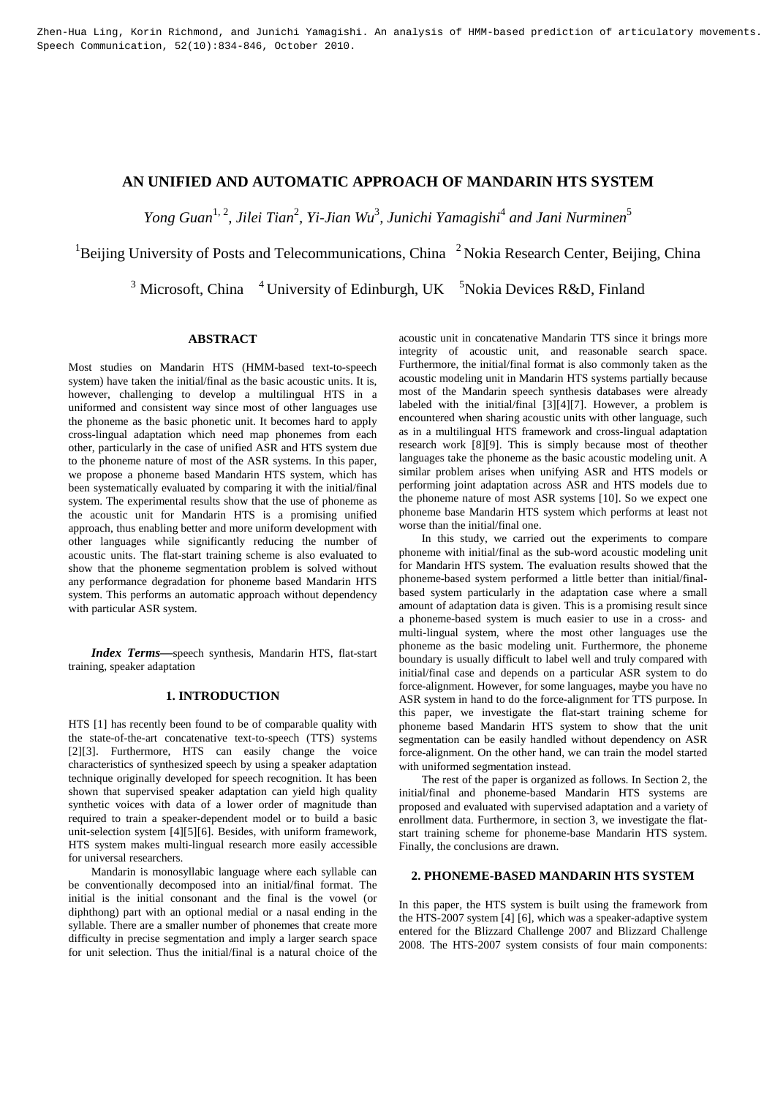### **AN UNIFIED AND AUTOMATIC APPROACH OF MANDARIN HTS SYSTEM**

 $Yong Guan<sup>1, 2</sup>$ , Jilei Tian<sup>2</sup>, Yi-Jian Wu<sup>3</sup>, Junichi Yamagishi<sup>4</sup> and Jani Nurminen<sup>5</sup>

<sup>1</sup>Beijing University of Posts and Telecommunications, China  $2^2$  Nokia Research Center, Beijing, China

<sup>3</sup> Microsoft, China  $4$  University of Edinburgh, UK  $5$ Nokia Devices R&D, Finland

#### **ABSTRACT**

Most studies on Mandarin HTS (HMM-based text-to-speech system) have taken the initial/final as the basic acoustic units. It is, however, challenging to develop a multilingual HTS in a uniformed and consistent way since most of other languages use the phoneme as the basic phonetic unit. It becomes hard to apply cross-lingual adaptation which need map phonemes from each other, particularly in the case of unified ASR and HTS system due to the phoneme nature of most of the ASR systems. In this paper, we propose a phoneme based Mandarin HTS system, which has been systematically evaluated by comparing it with the initial/final system. The experimental results show that the use of phoneme as the acoustic unit for Mandarin HTS is a promising unified approach, thus enabling better and more uniform development with other languages while significantly reducing the number of acoustic units. The flat-start training scheme is also evaluated to show that the phoneme segmentation problem is solved without any performance degradation for phoneme based Mandarin HTS system. This performs an automatic approach without dependency with particular ASR system.

*Index Terms—*speech synthesis, Mandarin HTS, flat-start training, speaker adaptation

#### **1. INTRODUCTION**

HTS [1] has recently been found to be of comparable quality with the state-of-the-art concatenative text-to-speech (TTS) systems [2][3]. Furthermore, HTS can easily change the voice characteristics of synthesized speech by using a speaker adaptation technique originally developed for speech recognition. It has been shown that supervised speaker adaptation can yield high quality synthetic voices with data of a lower order of magnitude than required to train a speaker-dependent model or to build a basic unit-selection system [4][5][6]. Besides, with uniform framework, HTS system makes multi-lingual research more easily accessible for universal researchers.

Mandarin is monosyllabic language where each syllable can be conventionally decomposed into an initial/final format. The initial is the initial consonant and the final is the vowel (or diphthong) part with an optional medial or a nasal ending in the syllable. There are a smaller number of phonemes that create more difficulty in precise segmentation and imply a larger search space for unit selection. Thus the initial/final is a natural choice of the

acoustic unit in concatenative Mandarin TTS since it brings more integrity of acoustic unit, and reasonable search space. Furthermore, the initial/final format is also commonly taken as the acoustic modeling unit in Mandarin HTS systems partially because most of the Mandarin speech synthesis databases were already labeled with the initial/final [3][4][7]. However, a problem is encountered when sharing acoustic units with other language, such as in a multilingual HTS framework and cross-lingual adaptation research work [8][9]. This is simply because most of theother languages take the phoneme as the basic acoustic modeling unit. A similar problem arises when unifying ASR and HTS models or performing joint adaptation across ASR and HTS models due to the phoneme nature of most ASR systems [10]. So we expect one phoneme base Mandarin HTS system which performs at least not worse than the initial/final one.

In this study, we carried out the experiments to compare phoneme with initial/final as the sub-word acoustic modeling unit for Mandarin HTS system. The evaluation results showed that the phoneme-based system performed a little better than initial/finalbased system particularly in the adaptation case where a small amount of adaptation data is given. This is a promising result since a phoneme-based system is much easier to use in a cross- and multi-lingual system, where the most other languages use the phoneme as the basic modeling unit. Furthermore, the phoneme boundary is usually difficult to label well and truly compared with initial/final case and depends on a particular ASR system to do force-alignment. However, for some languages, maybe you have no ASR system in hand to do the force-alignment for TTS purpose. In this paper, we investigate the flat-start training scheme for phoneme based Mandarin HTS system to show that the unit segmentation can be easily handled without dependency on ASR force-alignment. On the other hand, we can train the model started with uniformed segmentation instead.

The rest of the paper is organized as follows. In Section 2, the initial/final and phoneme-based Mandarin HTS systems are proposed and evaluated with supervised adaptation and a variety of enrollment data. Furthermore, in section 3, we investigate the flatstart training scheme for phoneme-base Mandarin HTS system. Finally, the conclusions are drawn.

#### **2. PHONEME-BASED MANDARIN HTS SYSTEM**

In this paper, the HTS system is built using the framework from the HTS-2007 system [4] [6], which was a speaker-adaptive system entered for the Blizzard Challenge 2007 and Blizzard Challenge 2008. The HTS-2007 system consists of four main components: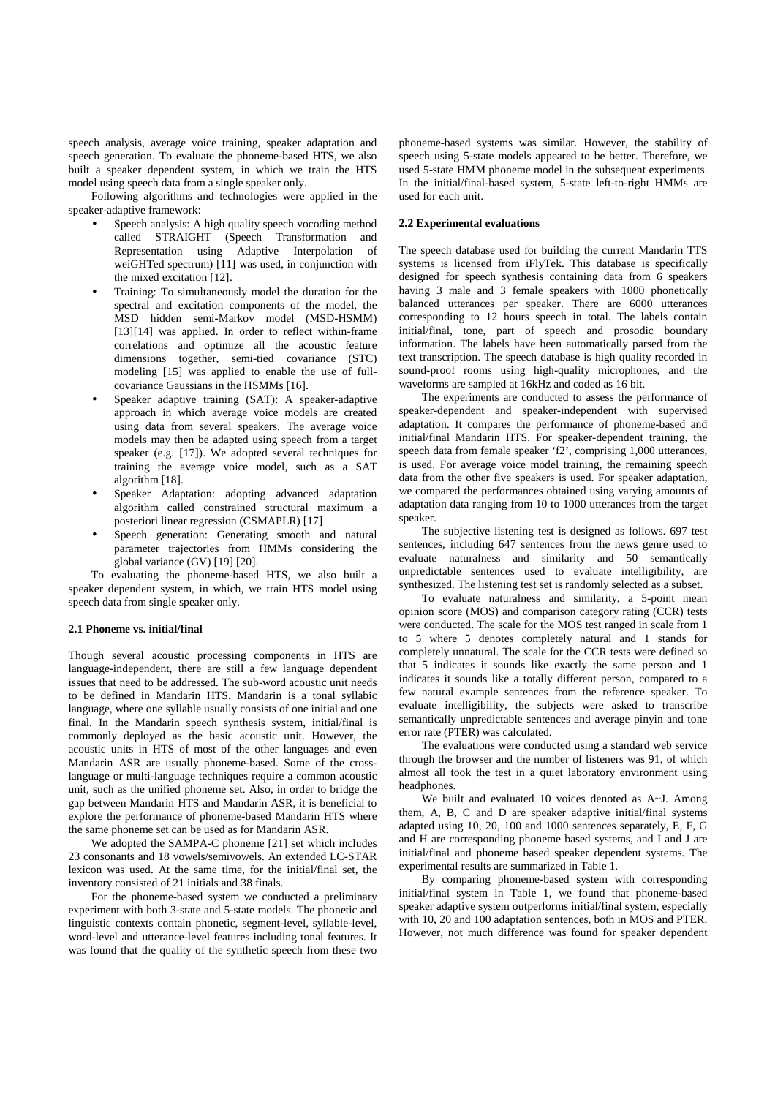speech analysis, average voice training, speaker adaptation and speech generation. To evaluate the phoneme-based HTS, we also built a speaker dependent system, in which we train the HTS model using speech data from a single speaker only.

Following algorithms and technologies were applied in the speaker-adaptive framework:

- Speech analysis: A high quality speech vocoding method called STRAIGHT (Speech Transformation and Representation using Adaptive Interpolation of weiGHTed spectrum) [11] was used, in conjunction with the mixed excitation [12].
- Training: To simultaneously model the duration for the spectral and excitation components of the model, the MSD hidden semi-Markov model (MSD-HSMM) [13][14] was applied. In order to reflect within-frame correlations and optimize all the acoustic feature dimensions together, semi-tied covariance (STC) modeling [15] was applied to enable the use of fullcovariance Gaussians in the HSMMs [16].
- Speaker adaptive training (SAT): A speaker-adaptive approach in which average voice models are created using data from several speakers. The average voice models may then be adapted using speech from a target speaker (e.g. [17]). We adopted several techniques for training the average voice model, such as a SAT algorithm [18].
- Speaker Adaptation: adopting advanced adaptation algorithm called constrained structural maximum a posteriori linear regression (CSMAPLR) [17]
- Speech generation: Generating smooth and natural parameter trajectories from HMMs considering the global variance (GV) [19] [20].

To evaluating the phoneme-based HTS, we also built a speaker dependent system, in which, we train HTS model using speech data from single speaker only.

#### **2.1 Phoneme vs. initial/final**

Though several acoustic processing components in HTS are language-independent, there are still a few language dependent issues that need to be addressed. The sub-word acoustic unit needs to be defined in Mandarin HTS. Mandarin is a tonal syllabic language, where one syllable usually consists of one initial and one final. In the Mandarin speech synthesis system, initial/final is commonly deployed as the basic acoustic unit. However, the acoustic units in HTS of most of the other languages and even Mandarin ASR are usually phoneme-based. Some of the crosslanguage or multi-language techniques require a common acoustic unit, such as the unified phoneme set. Also, in order to bridge the gap between Mandarin HTS and Mandarin ASR, it is beneficial to explore the performance of phoneme-based Mandarin HTS where the same phoneme set can be used as for Mandarin ASR.

We adopted the SAMPA-C phoneme [21] set which includes 23 consonants and 18 vowels/semivowels. An extended LC-STAR lexicon was used. At the same time, for the initial/final set, the inventory consisted of 21 initials and 38 finals.

For the phoneme-based system we conducted a preliminary experiment with both 3-state and 5-state models. The phonetic and linguistic contexts contain phonetic, segment-level, syllable-level, word-level and utterance-level features including tonal features. It was found that the quality of the synthetic speech from these two phoneme-based systems was similar. However, the stability of speech using 5-state models appeared to be better. Therefore, we used 5-state HMM phoneme model in the subsequent experiments. In the initial/final-based system, 5-state left-to-right HMMs are used for each unit.

#### **2.2 Experimental evaluations**

The speech database used for building the current Mandarin TTS systems is licensed from iFlyTek. This database is specifically designed for speech synthesis containing data from 6 speakers having 3 male and 3 female speakers with 1000 phonetically balanced utterances per speaker. There are 6000 utterances corresponding to 12 hours speech in total. The labels contain initial/final, tone, part of speech and prosodic boundary information. The labels have been automatically parsed from the text transcription. The speech database is high quality recorded in sound-proof rooms using high-quality microphones, and the waveforms are sampled at 16kHz and coded as 16 bit.

The experiments are conducted to assess the performance of speaker-dependent and speaker-independent with supervised adaptation. It compares the performance of phoneme-based and initial/final Mandarin HTS. For speaker-dependent training, the speech data from female speaker 'f2', comprising 1,000 utterances, is used. For average voice model training, the remaining speech data from the other five speakers is used. For speaker adaptation, we compared the performances obtained using varying amounts of adaptation data ranging from 10 to 1000 utterances from the target speaker.

The subjective listening test is designed as follows. 697 test sentences, including 647 sentences from the news genre used to evaluate naturalness and similarity and 50 semantically unpredictable sentences used to evaluate intelligibility, are synthesized. The listening test set is randomly selected as a subset.

To evaluate naturalness and similarity, a 5-point mean opinion score (MOS) and comparison category rating (CCR) tests were conducted. The scale for the MOS test ranged in scale from 1 to 5 where 5 denotes completely natural and 1 stands for completely unnatural. The scale for the CCR tests were defined so that 5 indicates it sounds like exactly the same person and 1 indicates it sounds like a totally different person, compared to a few natural example sentences from the reference speaker. To evaluate intelligibility, the subjects were asked to transcribe semantically unpredictable sentences and average pinyin and tone error rate (PTER) was calculated.

The evaluations were conducted using a standard web service through the browser and the number of listeners was 91, of which almost all took the test in a quiet laboratory environment using headphones.

We built and evaluated 10 voices denoted as A~J. Among them, A, B, C and D are speaker adaptive initial/final systems adapted using 10, 20, 100 and 1000 sentences separately, E, F, G and H are corresponding phoneme based systems, and I and J are initial/final and phoneme based speaker dependent systems. The experimental results are summarized in Table 1.

By comparing phoneme-based system with corresponding initial/final system in Table 1, we found that phoneme-based speaker adaptive system outperforms initial/final system, especially with 10, 20 and 100 adaptation sentences, both in MOS and PTER. However, not much difference was found for speaker dependent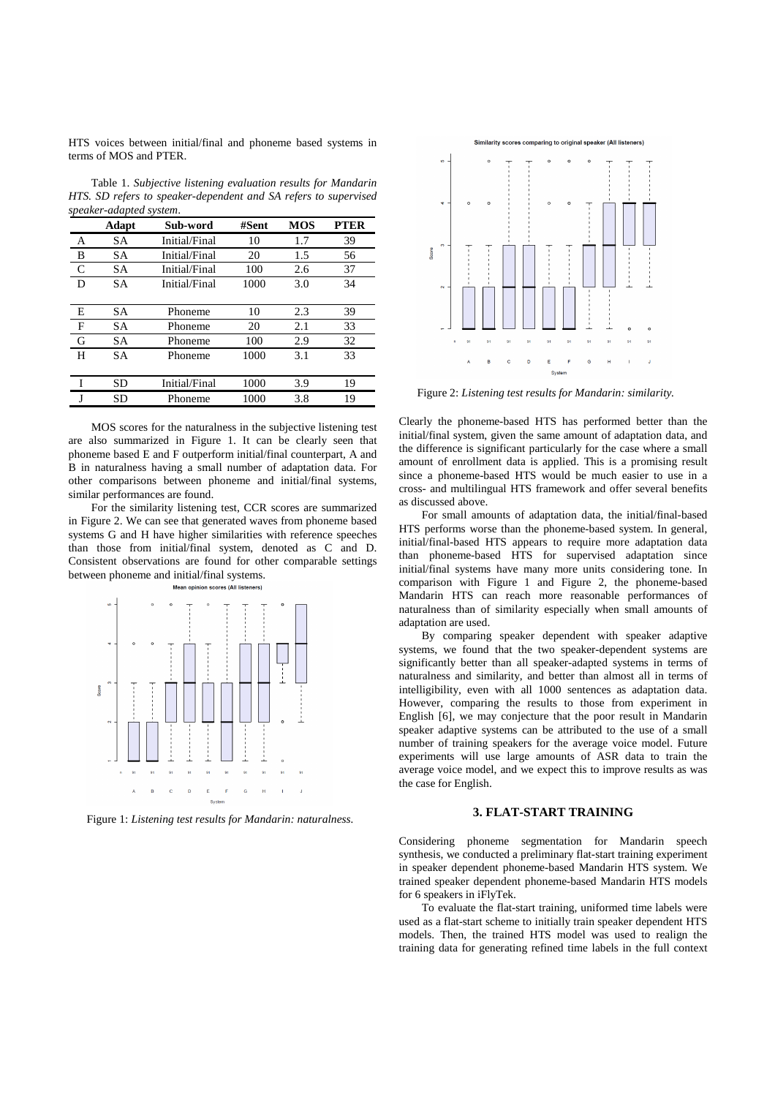HTS voices between initial/final and phoneme based systems in terms of MOS and PTER.

Table 1. *Subjective listening evaluation results for Mandarin HTS. SD refers to speaker-dependent and SA refers to supervised speaker-adapted system*.

|   | Adapt     | Sub-word      | #Sent | <b>MOS</b> | <b>PTER</b> |
|---|-----------|---------------|-------|------------|-------------|
| Α | SА        | Initial/Final | 10    | 1.7        | 39          |
| B | SА        | Initial/Final | 20    | 1.5        | 56          |
| C | SА        | Initial/Final | 100   | 2.6        | 37          |
| D | SА        | Initial/Final | 1000  | 3.0        | 34          |
|   |           |               |       |            |             |
| Е | SА        | Phoneme       | 10    | 2.3        | 39          |
| F | SА        | Phoneme       | 20    | 2.1        | 33          |
| G | SА        | Phoneme       | 100   | 2.9        | 32          |
| H | <b>SA</b> | Phoneme       | 1000  | 3.1        | 33          |
|   |           |               |       |            |             |
|   | SD        | Initial/Final | 1000  | 3.9        | 19          |
|   | SD        | Phoneme       | 1000  | 3.8        | 19          |
|   |           |               |       |            |             |

MOS scores for the naturalness in the subjective listening test are also summarized in Figure 1. It can be clearly seen that phoneme based E and F outperform initial/final counterpart, A and B in naturalness having a small number of adaptation data. For other comparisons between phoneme and initial/final systems, similar performances are found.

For the similarity listening test, CCR scores are summarized in Figure 2. We can see that generated waves from phoneme based systems G and H have higher similarities with reference speeches than those from initial/final system, denoted as C and D. Consistent observations are found for other comparable settings between phoneme and initial/final systems.



Figure 1: *Listening test results for Mandarin: naturalness.*



Figure 2: *Listening test results for Mandarin: similarity.*

Clearly the phoneme-based HTS has performed better than the initial/final system, given the same amount of adaptation data, and the difference is significant particularly for the case where a small amount of enrollment data is applied. This is a promising result since a phoneme-based HTS would be much easier to use in a cross- and multilingual HTS framework and offer several benefits as discussed above.

For small amounts of adaptation data, the initial/final-based HTS performs worse than the phoneme-based system. In general, initial/final-based HTS appears to require more adaptation data than phoneme-based HTS for supervised adaptation since initial/final systems have many more units considering tone. In comparison with Figure 1 and Figure 2, the phoneme-based Mandarin HTS can reach more reasonable performances of naturalness than of similarity especially when small amounts of adaptation are used.

By comparing speaker dependent with speaker adaptive systems, we found that the two speaker-dependent systems are significantly better than all speaker-adapted systems in terms of naturalness and similarity, and better than almost all in terms of intelligibility, even with all 1000 sentences as adaptation data. However, comparing the results to those from experiment in English [6], we may conjecture that the poor result in Mandarin speaker adaptive systems can be attributed to the use of a small number of training speakers for the average voice model. Future experiments will use large amounts of ASR data to train the average voice model, and we expect this to improve results as was the case for English.

#### **3. FLAT-START TRAINING**

Considering phoneme segmentation for Mandarin speech synthesis, we conducted a preliminary flat-start training experiment in speaker dependent phoneme-based Mandarin HTS system. We trained speaker dependent phoneme-based Mandarin HTS models for 6 speakers in iFlyTek.

To evaluate the flat-start training, uniformed time labels were used as a flat-start scheme to initially train speaker dependent HTS models. Then, the trained HTS model was used to realign the training data for generating refined time labels in the full context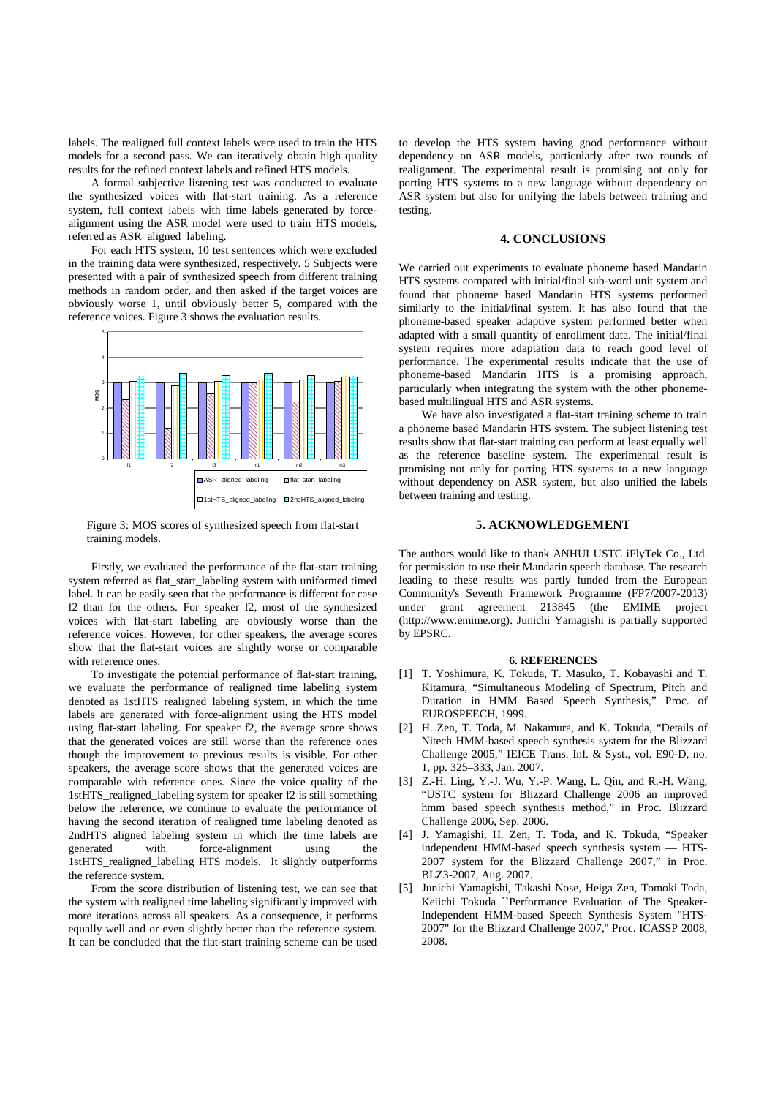labels. The realigned full context labels were used to train the HTS models for a second pass. We can iteratively obtain high quality results for the refined context labels and refined HTS models.

A formal subjective listening test was conducted to evaluate the synthesized voices with flat-start training. As a reference system, full context labels with time labels generated by forcealignment using the ASR model were used to train HTS models, referred as ASR\_aligned\_labeling.

For each HTS system, 10 test sentences which were excluded in the training data were synthesized, respectively. 5 Subjects were presented with a pair of synthesized speech from different training methods in random order, and then asked if the target voices are obviously worse 1, until obviously better 5, compared with the reference voices. Figure 3 shows the evaluation results.



Figure 3: MOS scores of synthesized speech from flat-start training models.

Firstly, we evaluated the performance of the flat-start training system referred as flat\_start\_labeling system with uniformed timed label. It can be easily seen that the performance is different for case f2 than for the others. For speaker f2, most of the synthesized voices with flat-start labeling are obviously worse than the reference voices. However, for other speakers, the average scores show that the flat-start voices are slightly worse or comparable with reference ones.

To investigate the potential performance of flat-start training, we evaluate the performance of realigned time labeling system denoted as 1stHTS\_realigned\_labeling system, in which the time labels are generated with force-alignment using the HTS model using flat-start labeling. For speaker f2, the average score shows that the generated voices are still worse than the reference ones though the improvement to previous results is visible. For other speakers, the average score shows that the generated voices are comparable with reference ones. Since the voice quality of the 1stHTS\_realigned\_labeling system for speaker f2 is still something below the reference, we continue to evaluate the performance of having the second iteration of realigned time labeling denoted as 2ndHTS\_aligned\_labeling system in which the time labels are generated with force-alignment using the 1stHTS\_realigned\_labeling HTS models. It slightly outperforms the reference system.

From the score distribution of listening test, we can see that the system with realigned time labeling significantly improved with more iterations across all speakers. As a consequence, it performs equally well and or even slightly better than the reference system. It can be concluded that the flat-start training scheme can be used

to develop the HTS system having good performance without dependency on ASR models, particularly after two rounds of realignment. The experimental result is promising not only for porting HTS systems to a new language without dependency on ASR system but also for unifying the labels between training and testing.

#### **4. CONCLUSIONS**

We carried out experiments to evaluate phoneme based Mandarin HTS systems compared with initial/final sub-word unit system and found that phoneme based Mandarin HTS systems performed similarly to the initial/final system. It has also found that the phoneme-based speaker adaptive system performed better when adapted with a small quantity of enrollment data. The initial/final system requires more adaptation data to reach good level of performance. The experimental results indicate that the use of phoneme-based Mandarin HTS is a promising approach, particularly when integrating the system with the other phonemebased multilingual HTS and ASR systems.

We have also investigated a flat-start training scheme to train a phoneme based Mandarin HTS system. The subject listening test results show that flat-start training can perform at least equally well as the reference baseline system. The experimental result is promising not only for porting HTS systems to a new language without dependency on ASR system, but also unified the labels between training and testing.

#### **5. ACKNOWLEDGEMENT**

The authors would like to thank ANHUI USTC iFlyTek Co., Ltd. for permission to use their Mandarin speech database. The research leading to these results was partly funded from the European Community's Seventh Framework Programme (FP7/2007-2013) under grant agreement 213845 (the EMIME project (http://www.emime.org). Junichi Yamagishi is partially supported by EPSRC.

#### **6. REFERENCES**

- [1] T. Yoshimura, K. Tokuda, T. Masuko, T. Kobayashi and T. Kitamura, "Simultaneous Modeling of Spectrum, Pitch and Duration in HMM Based Speech Synthesis," Proc. of EUROSPEECH, 1999.
- [2] H. Zen, T. Toda, M. Nakamura, and K. Tokuda, "Details of Nitech HMM-based speech synthesis system for the Blizzard Challenge 2005," IEICE Trans. Inf. & Syst., vol. E90-D, no. 1, pp. 325–333, Jan. 2007.
- [3] Z.-H. Ling, Y.-J. Wu, Y.-P. Wang, L. Qin, and R.-H. Wang, "USTC system for Blizzard Challenge 2006 an improved hmm based speech synthesis method," in Proc. Blizzard Challenge 2006, Sep. 2006.
- [4] J. Yamagishi, H. Zen, T. Toda, and K. Tokuda, "Speaker independent HMM-based speech synthesis system — HTS-2007 system for the Blizzard Challenge 2007," in Proc. BLZ3-2007, Aug. 2007.
- [5] Junichi Yamagishi, Takashi Nose, Heiga Zen, Tomoki Toda, Keiichi Tokuda ``Performance Evaluation of The Speaker-Independent HMM-based Speech Synthesis System "HTS-2007" for the Blizzard Challenge 2007,'' Proc. ICASSP 2008, 2008.